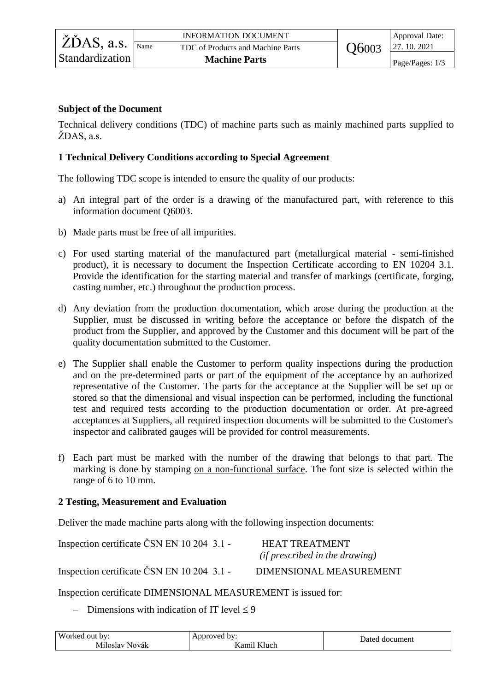## **Subject of the Document**

Technical delivery conditions (TDC) of machine parts such as mainly machined parts supplied to ŽDAS, a.s.

## **1 Technical Delivery Conditions according to Special Agreement**

The following TDC scope is intended to ensure the quality of our products:

- a) An integral part of the order is a drawing of the manufactured part, with reference to this information document Q6003.
- b) Made parts must be free of all impurities.
- c) For used starting material of the manufactured part (metallurgical material semi-finished product), it is necessary to document the Inspection Certificate according to EN 10204 3.1. Provide the identification for the starting material and transfer of markings (certificate, forging, casting number, etc.) throughout the production process.
- d) Any deviation from the production documentation, which arose during the production at the Supplier, must be discussed in writing before the acceptance or before the dispatch of the product from the Supplier, and approved by the Customer and this document will be part of the quality documentation submitted to the Customer.
- e) The Supplier shall enable the Customer to perform quality inspections during the production and on the pre-determined parts or part of the equipment of the acceptance by an authorized representative of the Customer. The parts for the acceptance at the Supplier will be set up or stored so that the dimensional and visual inspection can be performed, including the functional test and required tests according to the production documentation or order. At pre-agreed acceptances at Suppliers, all required inspection documents will be submitted to the Customer's inspector and calibrated gauges will be provided for control measurements.
- f) Each part must be marked with the number of the drawing that belongs to that part. The marking is done by stamping on a non-functional surface. The font size is selected within the range of 6 to 10 mm.

## **2 Testing, Measurement and Evaluation**

Deliver the made machine parts along with the following inspection documents:

| Inspection certificate ČSN EN 10 204 3.1 - | <b>HEAT TREATMENT</b>                 |  |
|--------------------------------------------|---------------------------------------|--|
|                                            | <i>(if prescribed in the drawing)</i> |  |
| Inspection certificate ČSN EN 10 204 3.1 - | DIMENSIONAL MEASUREMENT               |  |

Inspection certificate DIMENSIONAL MEASUREMENT is issued for:

- Dimensions with indication of IT level  $\leq 9$ 

| Worked out by: | Annroved<br>. bv:           | Jated<br>document |  |
|----------------|-----------------------------|-------------------|--|
| Miloslav Novák | $T$ $T$ 1<br>Kamıl<br>Kluch |                   |  |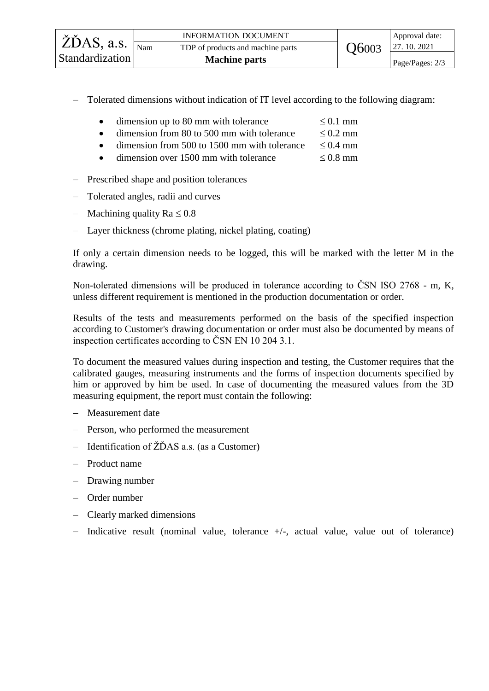|                                                            | <b>INFORMATION DOCUMENT</b>       |              | Approval date:  |
|------------------------------------------------------------|-----------------------------------|--------------|-----------------|
| $\check{Z}$ DAS, a.s. $\overline{\vert_{\text{Nam}}\vert}$ | TDP of products and machine parts | <b>Q6003</b> | 27.10.2021      |
| Standardization                                            | <b>Machine parts</b>              |              | Page/Pages: 2/3 |
|                                                            |                                   |              |                 |

- Tolerated dimensions without indication of IT level according to the following diagram:

|  | dimension up to 80 mm with tolerance | $\leq 0.1$ mm |
|--|--------------------------------------|---------------|
|--|--------------------------------------|---------------|

- dimension from 80 to 500 mm with tolerance  $\leq 0.2$  mm
- $\bullet$  dimension from 500 to 1500 mm with tolerance  $\leq 0.4$  mm
- dimension over 1500 mm with tolerance  $\leq 0.8$  mm
- Prescribed shape and position tolerances
- Tolerated angles, radii and curves
- Machining quality  $Ra \leq 0.8$
- Layer thickness (chrome plating, nickel plating, coating)

If only a certain dimension needs to be logged, this will be marked with the letter M in the drawing.

Non-tolerated dimensions will be produced in tolerance according to ČSN ISO 2768 - m, K, unless different requirement is mentioned in the production documentation or order.

Results of the tests and measurements performed on the basis of the specified inspection according to Customer's drawing documentation or order must also be documented by means of inspection certificates according to ČSN EN 10 204 3.1.

To document the measured values during inspection and testing, the Customer requires that the calibrated gauges, measuring instruments and the forms of inspection documents specified by him or approved by him be used. In case of documenting the measured values from the 3D measuring equipment, the report must contain the following:

- Measurement date
- Person, who performed the measurement
- $-$  Identification of  $\angle Z\angle DAS$  a.s. (as a Customer)
- Product name
- Drawing number
- Order number
- Clearly marked dimensions
- $-$  Indicative result (nominal value, tolerance  $+/-$ , actual value, value out of tolerance)